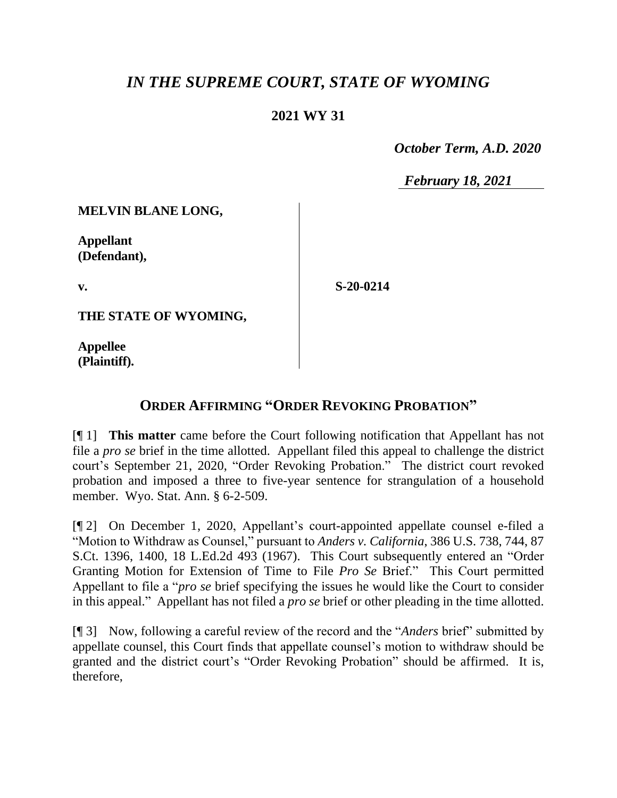## *IN THE SUPREME COURT, STATE OF WYOMING*

## **2021 WY 31**

 *October Term, A.D. 2020*

*February 18, 2021*

**MELVIN BLANE LONG,**

**Appellant (Defendant),**

**v.**

**S-20-0214**

**THE STATE OF WYOMING,**

**Appellee (Plaintiff).**

## **ORDER AFFIRMING "ORDER REVOKING PROBATION"**

[¶ 1] **This matter** came before the Court following notification that Appellant has not file a *pro se* brief in the time allotted. Appellant filed this appeal to challenge the district court's September 21, 2020, "Order Revoking Probation." The district court revoked probation and imposed a three to five-year sentence for strangulation of a household member. Wyo. Stat. Ann. § 6-2-509.

[¶ 2] On December 1, 2020, Appellant's court-appointed appellate counsel e-filed a "Motion to Withdraw as Counsel," pursuant to *Anders v. California*, 386 U.S. 738, 744, 87 S.Ct. 1396, 1400, 18 L.Ed.2d 493 (1967). This Court subsequently entered an "Order Granting Motion for Extension of Time to File *Pro Se* Brief." This Court permitted Appellant to file a "*pro se* brief specifying the issues he would like the Court to consider in this appeal." Appellant has not filed a *pro se* brief or other pleading in the time allotted.

[¶ 3] Now, following a careful review of the record and the "*Anders* brief" submitted by appellate counsel, this Court finds that appellate counsel's motion to withdraw should be granted and the district court's "Order Revoking Probation" should be affirmed. It is, therefore,